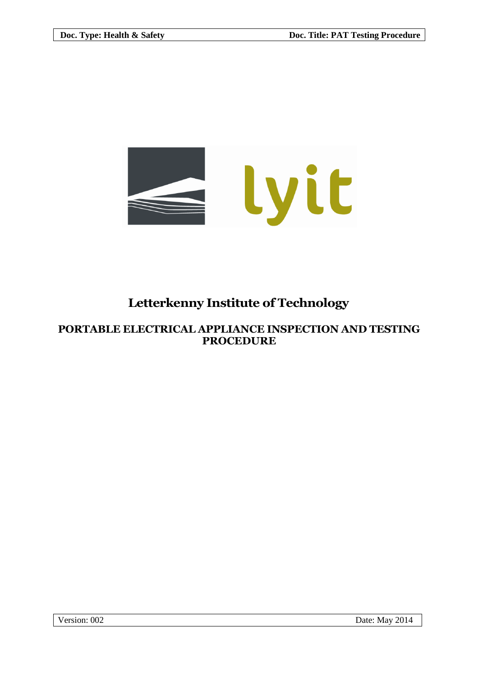

# **Letterkenny Institute of Technology**

# **PORTABLE ELECTRICAL APPLIANCE INSPECTION AND TESTING PROCEDURE**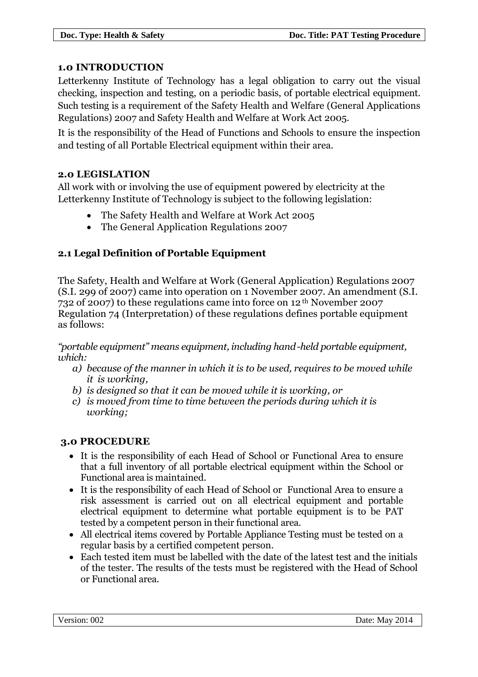#### **1.0 INTRODUCTION**

Letterkenny Institute of Technology has a legal obligation to carry out the visual checking, inspection and testing, on a periodic basis, of portable electrical equipment. Such testing is a requirement of the Safety Health and Welfare (General Applications Regulations) 2007 and Safety Health and Welfare at Work Act 2005.

It is the responsibility of the Head of Functions and Schools to ensure the inspection and testing of all Portable Electrical equipment within their area.

#### **2.0 LEGISLATION**

All work with or involving the use of equipment powered by electricity at the Letterkenny Institute of Technology is subject to the following legislation:

- The Safety Health and Welfare at Work Act 2005
- The General Application Regulations 2007

#### **2.1 Legal Definition of Portable Equipment**

The Safety, Health and Welfare at Work (General Application) Regulations 2007 (S.I. 299 of 2007) came into operation on 1 November 2007. An amendment (S.I. 732 of 2007) to these regulations came into force on 12<sup>th</sup> November 2007 Regulation 74 (Interpretation) of these regulations defines portable equipment as follows:

*"portable equipment" means equipment, including hand-held portable equipment, which:*

- *a) because of the manner in which it is to be used, requires to be moved while it is working,*
- *b) is designed so that it can be moved while it is working, or*
- *c) is moved from time to time between the periods during which it is working;*

# **3.0 PROCEDURE**

- It is the responsibility of each Head of School or Functional Area to ensure that a full inventory of all portable electrical equipment within the School or Functional area is maintained.
- It is the responsibility of each Head of School or Functional Area to ensure a risk assessment is carried out on all electrical equipment and portable electrical equipment to determine what portable equipment is to be PAT tested by a competent person in their functional area.
- All electrical items covered by Portable Appliance Testing must be tested on a regular basis by a certified competent person.
- Each tested item must be labelled with the date of the latest test and the initials of the tester. The results of the tests must be registered with the Head of School or Functional area.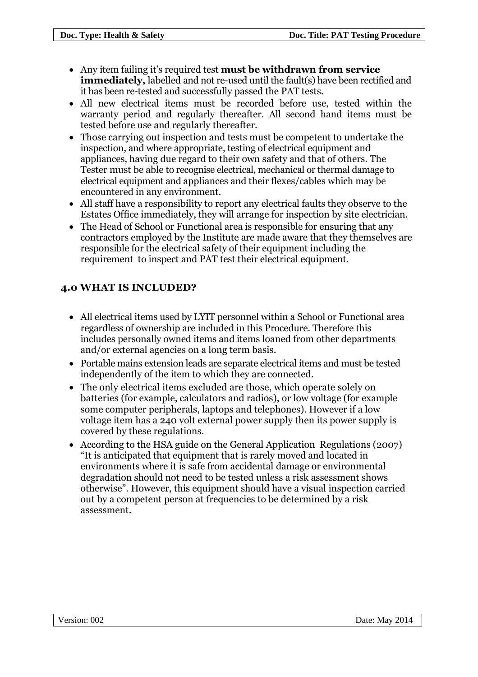- Any item failing it's required test **must be withdrawn from service immediately,** labelled and not re-used until the fault(s) have been rectified and it has been re-tested and successfully passed the PAT tests.
- All new electrical items must be recorded before use, tested within the warranty period and regularly thereafter. All second hand items must be tested before use and regularly thereafter.
- Those carrying out inspection and tests must be competent to undertake the inspection, and where appropriate, testing of electrical equipment and appliances, having due regard to their own safety and that of others. The Tester must be able to recognise electrical, mechanical or thermal damage to electrical equipment and appliances and their flexes/cables which may be encountered in any environment.
- All staff have a responsibility to report any electrical faults they observe to the Estates Office immediately, they will arrange for inspection by site electrician.
- The Head of School or Functional area is responsible for ensuring that any contractors employed by the Institute are made aware that they themselves are responsible for the electrical safety of their equipment including the requirement to inspect and PAT test their electrical equipment.

# **4.0 WHAT IS INCLUDED?**

- All electrical items used by LYIT personnel within a School or Functional area regardless of ownership are included in this Procedure. Therefore this includes personally owned items and items loaned from other departments and/or external agencies on a long term basis.
- Portable mains extension leads are separate electrical items and must be tested independently of the item to which they are connected.
- The only electrical items excluded are those, which operate solely on batteries (for example, calculators and radios), or low voltage (for example some computer peripherals, laptops and telephones). However if a low voltage item has a 240 volt external power supply then its power supply is covered by these regulations.
- According to the HSA guide on the General Application Regulations (2007) "It is anticipated that equipment that is rarely moved and located in environments where it is safe from accidental damage or environmental degradation should not need to be tested unless a risk assessment shows otherwise". However, this equipment should have a visual inspection carried out by a competent person at frequencies to be determined by a risk assessment.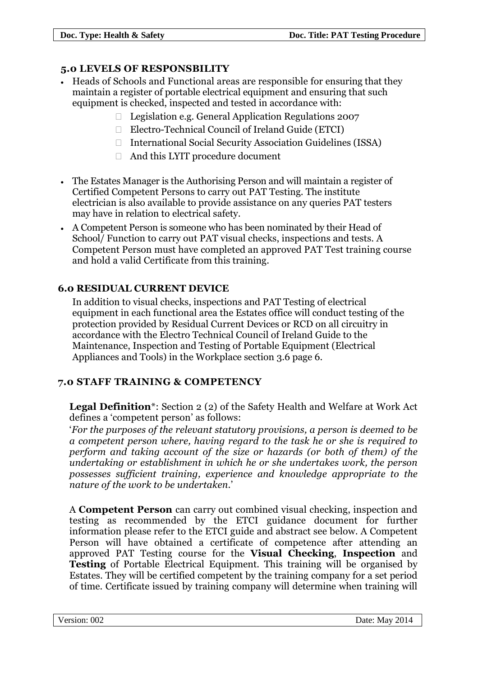# **5.0 LEVELS OF RESPONSBILITY**

- Heads of Schools and Functional areas are responsible for ensuring that they maintain a register of portable electrical equipment and ensuring that such equipment is checked, inspected and tested in accordance with:
	- $\Box$  Legislation e.g. General Application Regulations 2007
	- Electro-Technical Council of Ireland Guide (ETCI)
	- $\Box$  International Social Security Association Guidelines (ISSA)
	- And this LYIT procedure document
- The Estates Manager is the Authorising Person and will maintain a register of Certified Competent Persons to carry out PAT Testing. The institute electrician is also available to provide assistance on any queries PAT testers may have in relation to electrical safety.
- A Competent Person is someone who has been nominated by their Head of School/ Function to carry out PAT visual checks, inspections and tests. A Competent Person must have completed an approved PAT Test training course and hold a valid Certificate from this training.

# **6.0 RESIDUAL CURRENT DEVICE**

In addition to visual checks, inspections and PAT Testing of electrical equipment in each functional area the Estates office will conduct testing of the protection provided by Residual Current Devices or RCD on all circuitry in accordance with the Electro Technical Council of Ireland Guide to the Maintenance, Inspection and Testing of Portable Equipment (Electrical Appliances and Tools) in the Workplace section 3.6 page 6.

# **7.0 STAFF TRAINING & COMPETENCY**

**Legal Definition**\*: Section 2 (2) of the Safety Health and Welfare at Work Act defines a 'competent person' as follows:

'*For the purposes of the relevant statutory provisions, a person is deemed to be a competent person where, having regard to the task he or she is required to perform and taking account of the size or hazards (or both of them) of the undertaking or establishment in which he or she undertakes work, the person possesses sufficient training, experience and knowledge appropriate to the nature of the work to be undertaken.*'

A **Competent Person** can carry out combined visual checking, inspection and testing as recommended by the ETCI guidance document for further information please refer to the ETCI guide and abstract see below. A Competent Person will have obtained a certificate of competence after attending an approved PAT Testing course for the **Visual Checking**, **Inspection** and **Testing** of Portable Electrical Equipment. This training will be organised by Estates. They will be certified competent by the training company for a set period of time. Certificate issued by training company will determine when training will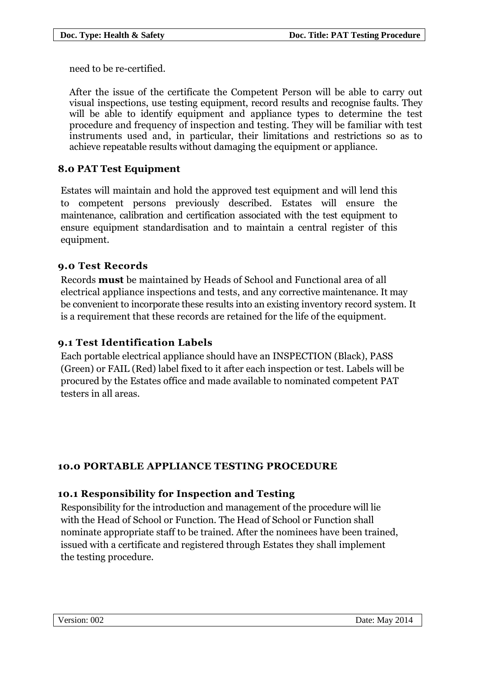need to be re-certified.

After the issue of the certificate the Competent Person will be able to carry out visual inspections, use testing equipment, record results and recognise faults. They will be able to identify equipment and appliance types to determine the test procedure and frequency of inspection and testing. They will be familiar with test instruments used and, in particular, their limitations and restrictions so as to achieve repeatable results without damaging the equipment or appliance.

# **8.0 PAT Test Equipment**

Estates will maintain and hold the approved test equipment and will lend this to competent persons previously described. Estates will ensure the maintenance, calibration and certification associated with the test equipment to ensure equipment standardisation and to maintain a central register of this equipment.

#### **9.0 Test Records**

Records **must** be maintained by Heads of School and Functional area of all electrical appliance inspections and tests, and any corrective maintenance. It may be convenient to incorporate these results into an existing inventory record system. It is a requirement that these records are retained for the life of the equipment.

# **9.1 Test Identification Labels**

Each portable electrical appliance should have an INSPECTION (Black), PASS (Green) or FAIL (Red) label fixed to it after each inspection or test. Labels will be procured by the Estates office and made available to nominated competent PAT testers in all areas.

# **10.0 PORTABLE APPLIANCE TESTING PROCEDURE**

# **10.1 Responsibility for Inspection and Testing**

Responsibility for the introduction and management of the procedure will lie with the Head of School or Function. The Head of School or Function shall nominate appropriate staff to be trained. After the nominees have been trained, issued with a certificate and registered through Estates they shall implement the testing procedure.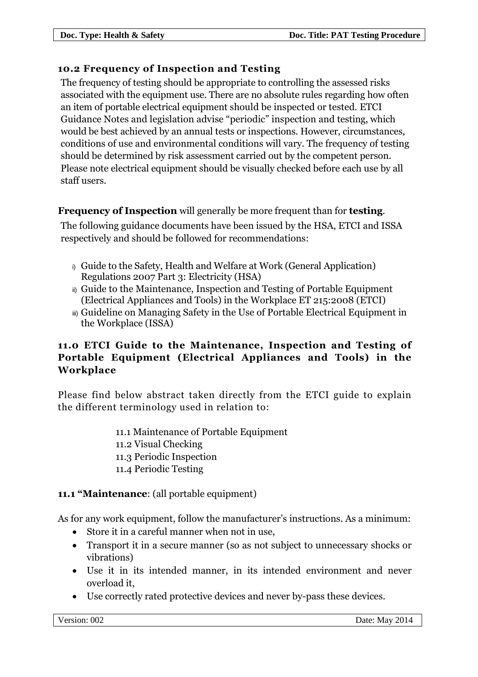# **10.2 Frequency of Inspection and Testing**

The frequency of testing should be appropriate to controlling the assessed risks associated with the equipment use. There are no absolute rules regarding how often an item of portable electrical equipment should be inspected or tested. ETCI Guidance Notes and legislation advise "periodic" inspection and testing, which would be best achieved by an annual tests or inspections. However, circumstances, conditions of use and environmental conditions will vary. The frequency of testing should be determined by risk assessment carried out by the competent person. Please note electrical equipment should be visually checked before each use by all staff users.

# **Frequency of Inspection** will generally be more frequent than for **testing**.

The following guidance documents have been issued by the HSA, ETCI and ISSA respectively and should be followed for recommendations:

- i) Guide to the Safety, Health and Welfare at Work (General Application) Regulations 2007 Part 3: Electricity (HSA)
- ii) Guide to the Maintenance, Inspection and Testing of Portable Equipment (Electrical Appliances and Tools) in the Workplace ET 215:2008 (ETCI)
- iii) Guideline on Managing Safety in the Use of Portable Electrical Equipment in the Workplace (ISSA)

# **11.0 ETCI Guide to the Maintenance, Inspection and Testing of Portable Equipment (Electrical Appliances and Tools) in the Workplace**

Please find below abstract taken directly from the ETCI guide to explain the different terminology used in relation to:

> 11.1 Maintenance of Portable Equipment 11.2 Visual Checking 11.3 Periodic Inspection 11.4 Periodic Testing

# **11.1 "Maintenance**: (all portable equipment)

As for any work equipment, follow the manufacturer's instructions. As a minimum:

- Store it in a careful manner when not in use,
- Transport it in a secure manner (so as not subject to unnecessary shocks or vibrations)
- Use it in its intended manner, in its intended environment and never overload it,
- Use correctly rated protective devices and never by-pass these devices.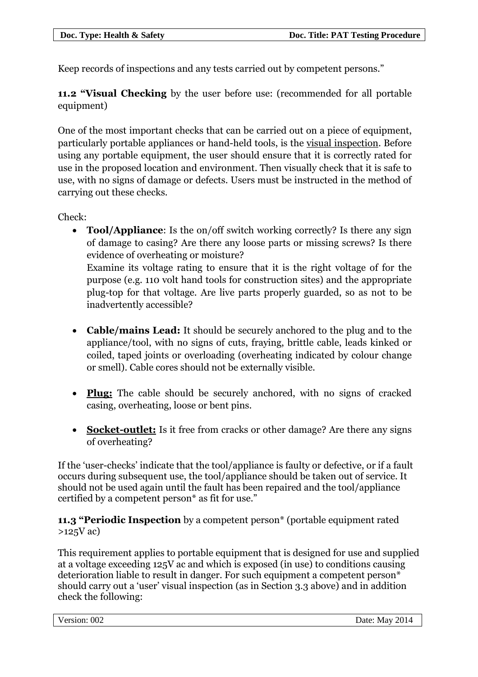Keep records of inspections and any tests carried out by competent persons."

**11.2 "Visual Checking** by the user before use: (recommended for all portable equipment)

One of the most important checks that can be carried out on a piece of equipment, particularly portable appliances or hand-held tools, is the visual inspection. Before using any portable equipment, the user should ensure that it is correctly rated for use in the proposed location and environment. Then visually check that it is safe to use, with no signs of damage or defects. Users must be instructed in the method of carrying out these checks.

Check:

 **Tool/Appliance**: Is the on/off switch working correctly? Is there any sign of damage to casing? Are there any loose parts or missing screws? Is there evidence of overheating or moisture? Examine its voltage rating to ensure that it is the right voltage of for the purpose (e.g. 110 volt hand tools for construction sites) and the appropriate plug-top for that voltage. Are live parts properly guarded, so as not to be

inadvertently accessible?

- **Cable/mains Lead:** It should be securely anchored to the plug and to the appliance/tool, with no signs of cuts, fraying, brittle cable, leads kinked or coiled, taped joints or overloading (overheating indicated by colour change or smell). Cable cores should not be externally visible.
- **Plug:** The cable should be securely anchored, with no signs of cracked casing, overheating, loose or bent pins.
- **Socket-outlet:** Is it free from cracks or other damage? Are there any signs of overheating?

If the 'user-checks' indicate that the tool/appliance is faulty or defective, or if a fault occurs during subsequent use, the tool/appliance should be taken out of service. It should not be used again until the fault has been repaired and the tool/appliance certified by a competent person\* as fit for use."

**11.3 "Periodic Inspection** by a competent person\* (portable equipment rated >125V ac)

This requirement applies to portable equipment that is designed for use and supplied at a voltage exceeding 125V ac and which is exposed (in use) to conditions causing deterioration liable to result in danger. For such equipment a competent person\* should carry out a 'user' visual inspection (as in Section 3.3 above) and in addition check the following: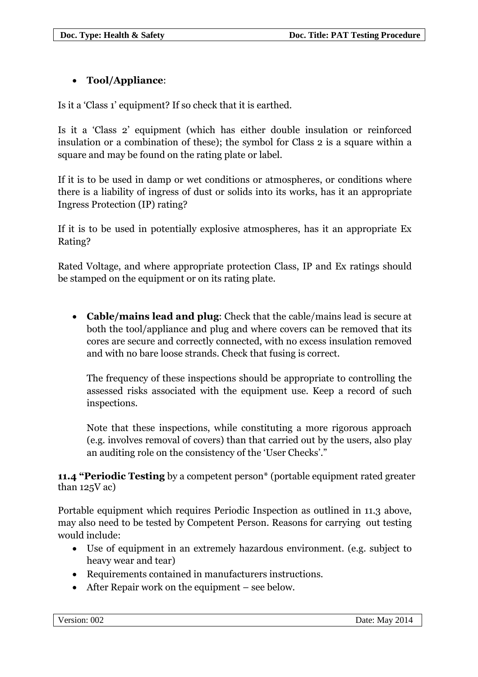# **Tool/Appliance**:

Is it a 'Class 1' equipment? If so check that it is earthed.

Is it a 'Class 2' equipment (which has either double insulation or reinforced insulation or a combination of these); the symbol for Class 2 is a square within a square and may be found on the rating plate or label.

If it is to be used in damp or wet conditions or atmospheres, or conditions where there is a liability of ingress of dust or solids into its works, has it an appropriate Ingress Protection (IP) rating?

If it is to be used in potentially explosive atmospheres, has it an appropriate Ex Rating?

Rated Voltage, and where appropriate protection Class, IP and Ex ratings should be stamped on the equipment or on its rating plate.

 **Cable/mains lead and plug**: Check that the cable/mains lead is secure at both the tool/appliance and plug and where covers can be removed that its cores are secure and correctly connected, with no excess insulation removed and with no bare loose strands. Check that fusing is correct.

The frequency of these inspections should be appropriate to controlling the assessed risks associated with the equipment use. Keep a record of such inspections.

Note that these inspections, while constituting a more rigorous approach (e.g. involves removal of covers) than that carried out by the users, also play an auditing role on the consistency of the 'User Checks'."

**11.4 "Periodic Testing** by a competent person\* (portable equipment rated greater than 125V ac)

Portable equipment which requires Periodic Inspection as outlined in 11.3 above, may also need to be tested by Competent Person. Reasons for carrying out testing would include:

- Use of equipment in an extremely hazardous environment. (e.g. subject to heavy wear and tear)
- Requirements contained in manufacturers instructions.
- After Repair work on the equipment see below.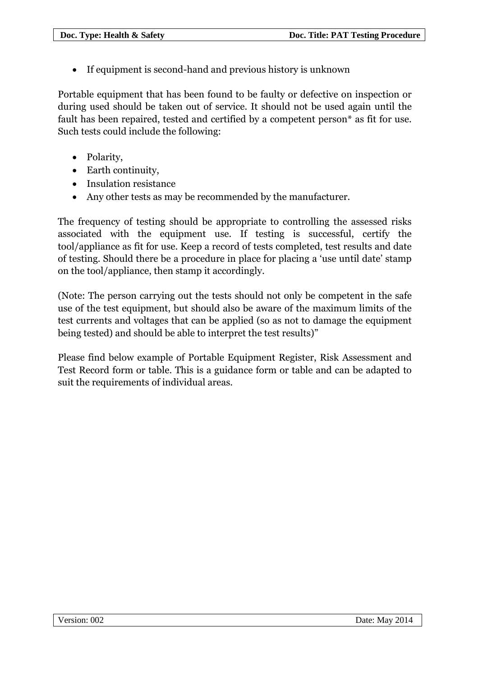If equipment is second-hand and previous history is unknown

Portable equipment that has been found to be faulty or defective on inspection or during used should be taken out of service. It should not be used again until the fault has been repaired, tested and certified by a competent person\* as fit for use. Such tests could include the following:

- Polarity,
- Earth continuity.
- Insulation resistance
- Any other tests as may be recommended by the manufacturer.

The frequency of testing should be appropriate to controlling the assessed risks associated with the equipment use. If testing is successful, certify the tool/appliance as fit for use. Keep a record of tests completed, test results and date of testing. Should there be a procedure in place for placing a 'use until date' stamp on the tool/appliance, then stamp it accordingly.

(Note: The person carrying out the tests should not only be competent in the safe use of the test equipment, but should also be aware of the maximum limits of the test currents and voltages that can be applied (so as not to damage the equipment being tested) and should be able to interpret the test results)"

Please find below example of Portable Equipment Register, Risk Assessment and Test Record form or table. This is a guidance form or table and can be adapted to suit the requirements of individual areas.